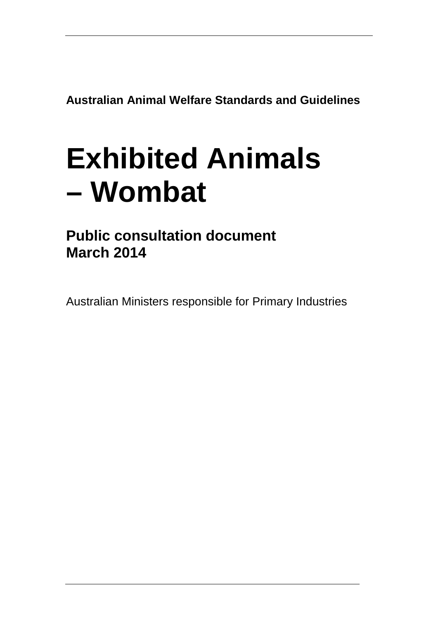**Australian Animal Welfare Standards and Guidelines**

# **Exhibited Animals – Wombat**

**Public consultation document March 2014**

Australian Ministers responsible for Primary Industries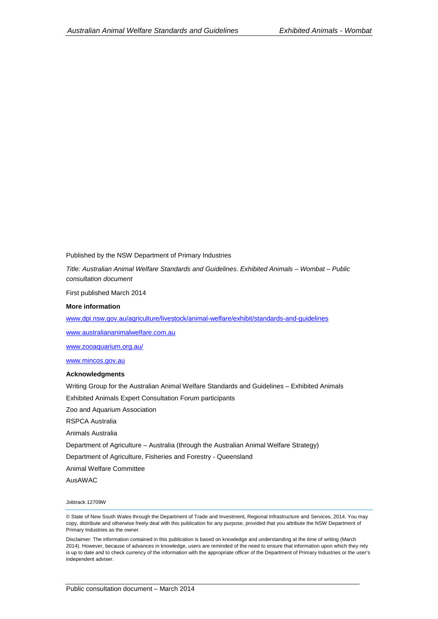Published by the NSW Department of Primary Industries

*Title: Australian Animal Welfare Standards and Guidelines. Exhibited Animals – Wombat – Public consultation document*

First published March 2014

#### **More information**

[www.dpi.nsw.gov.au/agriculture/livestock/animal-welfare/exhibit/standards-and-guidelines](http://www.dpi.nsw.gov.au/agriculture/livestock/animal-welfare/exhibit/standards-and-guidelines) 

[www.australiananimalwelfare.com.au](http://www.australiananimalwelfare.com.au/)

[www.zooaquarium.org.au/](http://www.zooaquarium.org.au/)

[www.mincos.gov.au](http://www.mincos.gov.au/)

#### **Acknowledgments**

Writing Group for the Australian Animal Welfare Standards and Guidelines – Exhibited Animals

Exhibited Animals Expert Consultation Forum participants

Zoo and Aquarium Association

RSPCA Australia

Animals Australia

Department of Agriculture – Australia (through the Australian Animal Welfare Strategy)

Department of Agriculture, Fisheries and Forestry - Queensland

Animal Welfare Committee

AusAWAC

Jobtrack 12709W

© State of New South Wales through the Department of Trade and Investment, Regional Infrastructure and Services, 2014. You may copy, distribute and otherwise freely deal with this publication for any purpose, provided that you attribute the NSW Department of Primary Industries as the owner.

Disclaimer: The information contained in this publication is based on knowledge and understanding at the time of writing (March 2014). However, because of advances in knowledge, users are reminded of the need to ensure that information upon which they rely is up to date and to check currency of the information with the appropriate officer of the Department of Primary Industries or the user's independent adviser.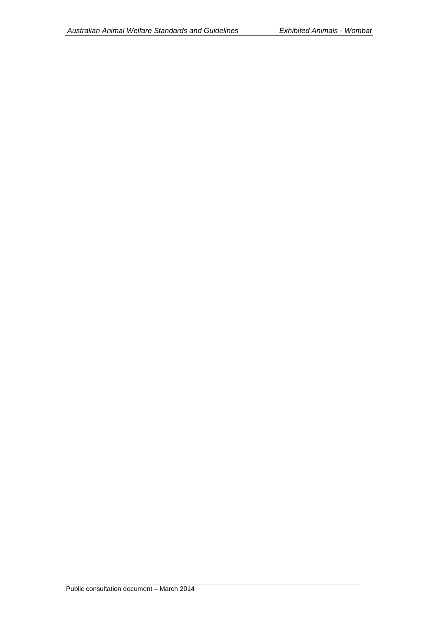Public consultation document – March 2014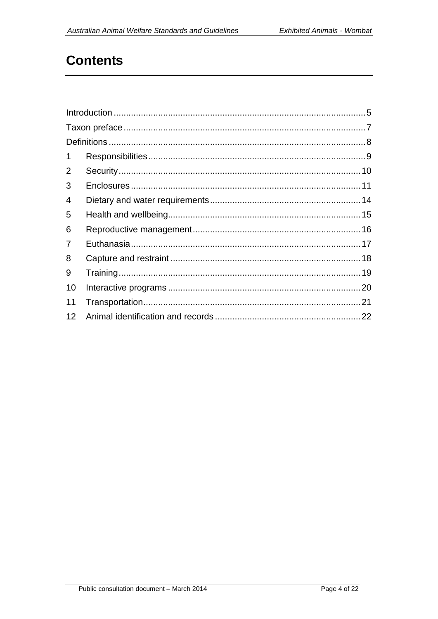# **Contents**

| $\mathbf{1}$   |  |  |  |
|----------------|--|--|--|
| 2              |  |  |  |
| 3              |  |  |  |
| 4              |  |  |  |
| 5              |  |  |  |
| 6              |  |  |  |
| $\overline{7}$ |  |  |  |
| 8              |  |  |  |
| 9              |  |  |  |
| 10             |  |  |  |
| 11             |  |  |  |
| 12             |  |  |  |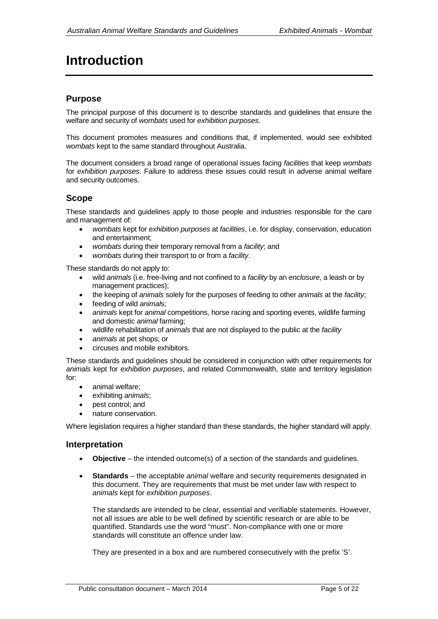# <span id="page-4-0"></span>**Introduction**

### **Purpose**

The principal purpose of this document is to describe standards and guidelines that ensure the welfare and security of *wombats* used for *exhibition purposes*.

This document promotes measures and conditions that, if implemented, would see exhibited *wombats* kept to the same standard throughout Australia.

The document considers a broad range of operational issues facing *facilities* that keep *wombats* for *exhibition purposes*. Failure to address these issues could result in adverse animal welfare and security outcomes.

### **Scope**

These standards and guidelines apply to those people and industries responsible for the care and management of:

- *wombats* kept for *exhibition purposes* at *facilities*, i.e. for display, conservation, education and entertainment;
- *wombats* during their temporary removal from a *facility*; and
- *wombats* during their transport to or from a *facility*.

These standards do not apply to:

- wild *animals* (i.e. free-living and not confined to a *facility* by an *enclosure*, a leash or by management practices);
- the keeping of *animals* solely for the purposes of feeding to other *animals* at the *facility*;
- feeding of wild *animal*s;
- *animals* kept for *animal* competitions, horse racing and sporting events, wildlife farming and domestic *animal* farming;
- wildlife rehabilitation of *animals* that are not displayed to the public at the *facility*
- *animals* at pet shops; or
- circuses and mobile exhibitors.

These standards and guidelines should be considered in conjunction with other requirements for *animals* kept for *exhibition purposes*, and related Commonwealth, state and territory legislation for:

- animal welfare;
- exhibiting *animals*;
- pest control; and
- nature conservation.

Where legislation requires a higher standard than these standards, the higher standard will apply.

#### **Interpretation**

- **Objective** the intended outcome(s) of a section of the standards and guidelines.
- **Standards** the acceptable *animal* welfare and security requirements designated in this document. They are requirements that must be met under law with respect to *animals* kept for *exhibition purposes*.

The standards are intended to be clear, essential and verifiable statements. However, not all issues are able to be well defined by scientific research or are able to be quantified. Standards use the word "must". Non-compliance with one or more standards will constitute an offence under law.

They are presented in a box and are numbered consecutively with the prefix 'S'.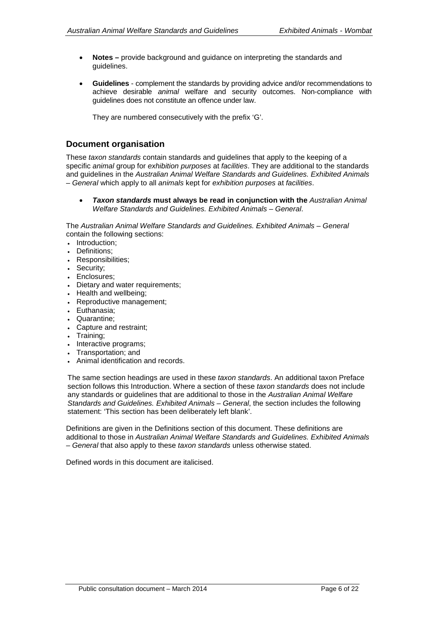- **Notes –** provide background and guidance on interpreting the standards and guidelines.
- **Guidelines** complement the standards by providing advice and/or recommendations to achieve desirable *animal* welfare and security outcomes. Non-compliance with guidelines does not constitute an offence under law.

They are numbered consecutively with the prefix 'G'.

### **Document organisation**

These *taxon standards* contain standards and guidelines that apply to the keeping of a specific *animal* group for *exhibition purposes* at *facilities*. They are additional to the standards and guidelines in the *Australian Animal Welfare Standards and Guidelines. Exhibited Animals – General* which apply to all *animals* kept for *exhibition purposes* at *facilities*.

• *Taxon standards* **must always be read in conjunction with the** *Australian Animal Welfare Standards and Guidelines. Exhibited Animals – General*.

The *Australian Animal Welfare Standards and Guidelines. Exhibited Animals – General* contain the following sections:

- Introduction;
- Definitions;
- Responsibilities;
- Security;
- Enclosures;
- Dietary and water requirements;
- Health and wellbeing;
- Reproductive management;
- Euthanasia;
- Quarantine;
- Capture and restraint;
- Training;
- Interactive programs;
- Transportation; and
- Animal identification and records.

The same section headings are used in these *taxon standards*. An additional taxon Preface section follows this Introduction. Where a section of these *taxon standards* does not include any standards or guidelines that are additional to those in the *Australian Animal Welfare Standards and Guidelines. Exhibited Animals – General*, the section includes the following statement: 'This section has been deliberately left blank'.

Definitions are given in the Definitions section of this document. These definitions are additional to those in *Australian Animal Welfare Standards and Guidelines. Exhibited Animals – General* that also apply to these *taxon standards* unless otherwise stated.

Defined words in this document are italicised.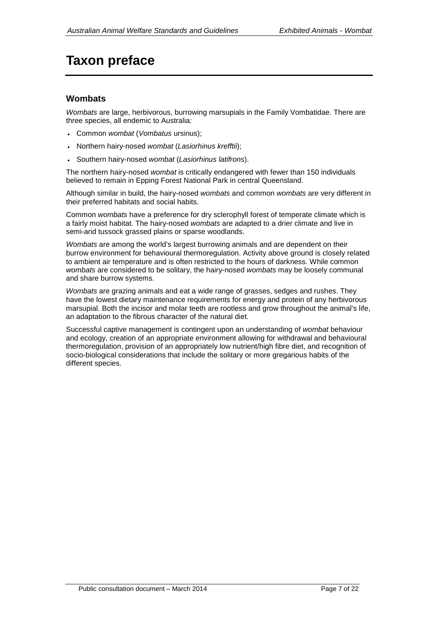# <span id="page-6-0"></span>**Taxon preface**

### **Wombats**

*Wombats* are large, herbivorous, burrowing marsupials in the Family Vombatidae. There are three species, all endemic to Australia:

- Common *wombat* (*Vombatus* ursinus);
- Northern hairy-nosed *wombat* (*Lasiorhinus krefftii*);
- Southern hairy-nosed *wombat* (*Lasiorhinus latifrons*).

The northern hairy-nosed *wombat* is critically endangered with fewer than 150 individuals believed to remain in Epping Forest National Park in central Queensland.

Although similar in build, the hairy-nosed *wombats* and common *wombats* are very different in their preferred habitats and social habits.

Common *wombats* have a preference for dry sclerophyll forest of temperate climate which is a fairly moist habitat. The hairy-nosed *wombats* are adapted to a drier climate and live in semi-arid tussock grassed plains or sparse woodlands.

*Wombats* are among the world's largest burrowing animals and are dependent on their burrow environment for behavioural thermoregulation. Activity above ground is closely related to ambient air temperature and is often restricted to the hours of darkness. While common *wombats* are considered to be solitary, the hairy-nosed *wombats* may be loosely communal and share burrow systems.

*Wombats* are grazing animals and eat a wide range of grasses, sedges and rushes. They have the lowest dietary maintenance requirements for energy and protein of any herbivorous marsupial. Both the incisor and molar teeth are rootless and grow throughout the animal's life, an adaptation to the fibrous character of the natural diet.

Successful captive management is contingent upon an understanding of *wombat* behaviour and ecology, creation of an appropriate environment allowing for withdrawal and behavioural thermoregulation, provision of an appropriately low nutrient/high fibre diet, and recognition of socio-biological considerations that include the solitary or more gregarious habits of the different species.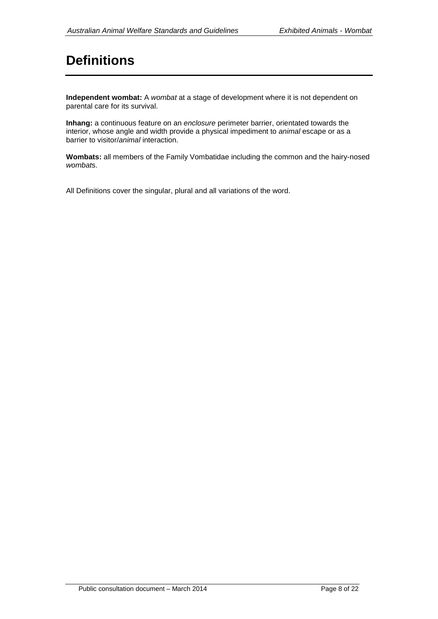# <span id="page-7-0"></span>**Definitions**

**Independent wombat:** A *wombat* at a stage of development where it is not dependent on parental care for its survival.

**Inhang:** a continuous feature on an *enclosure* perimeter barrier, orientated towards the interior, whose angle and width provide a physical impediment to *animal* escape or as a barrier to visitor/*animal* interaction.

**Wombats:** all members of the Family Vombatidae including the common and the hairy-nosed *wombat*s.

All Definitions cover the singular, plural and all variations of the word.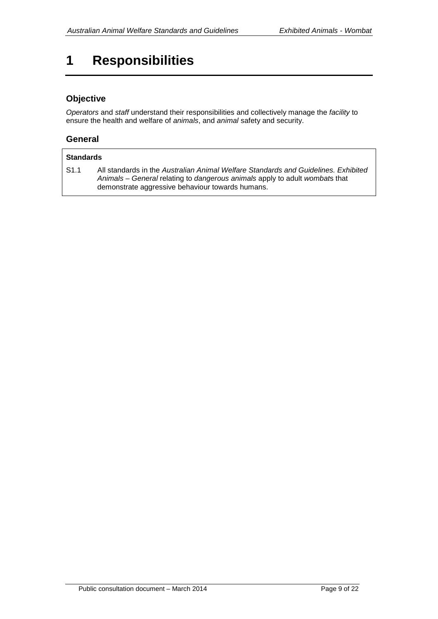# <span id="page-8-0"></span>**1 Responsibilities**

### **Objective**

*Operators* and *staff* understand their responsibilities and collectively manage the *facility* to ensure the health and welfare of *animals*, and *animal* safety and security.

### **General**

#### **Standards**

S1.1 All standards in the *Australian Animal Welfare Standards and Guidelines. Exhibited Animals – General* relating to *dangerous animals* apply to adult *wombat*s that demonstrate aggressive behaviour towards humans.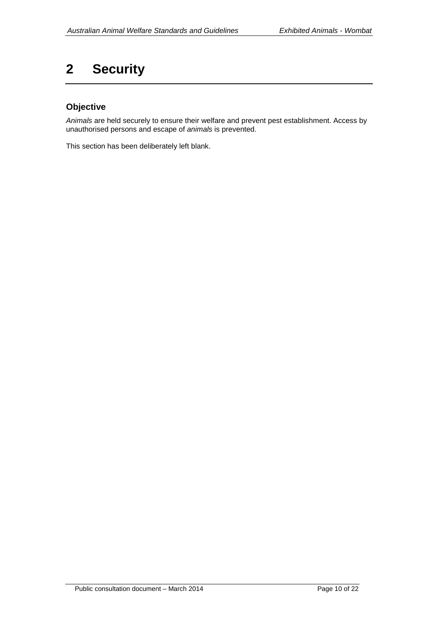# <span id="page-9-0"></span>**2 Security**

# **Objective**

*Animals* are held securely to ensure their welfare and prevent pest establishment. Access by unauthorised persons and escape of *animals* is prevented.

This section has been deliberately left blank.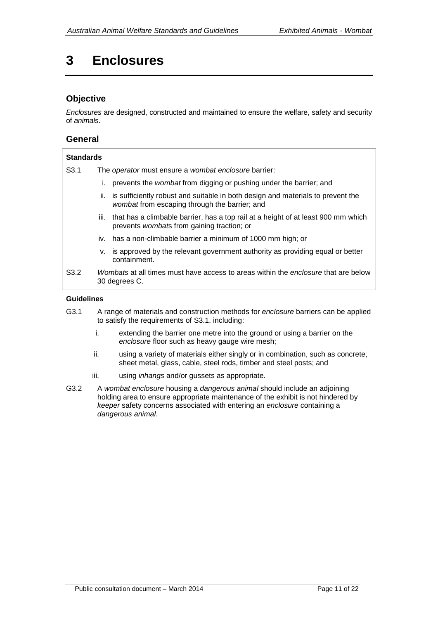# <span id="page-10-0"></span>**3 Enclosures**

### **Objective**

*Enclosures* are designed, constructed and maintained to ensure the welfare, safety and security of *animals*.

#### **General**

| <b>Standards</b> |      |                                                                                                                                      |
|------------------|------|--------------------------------------------------------------------------------------------------------------------------------------|
| S <sub>3.1</sub> |      | The operator must ensure a wombat enclosure barrier:                                                                                 |
|                  | ı.   | prevents the <i>wombat</i> from digging or pushing under the barrier; and                                                            |
|                  |      | ii. is sufficiently robust and suitable in both design and materials to prevent the<br>wombat from escaping through the barrier; and |
|                  | III. | that has a climbable barrier, has a top rail at a height of at least 900 mm which<br>prevents wombats from gaining traction; or      |
|                  |      | iv. has a non-climbable barrier a minimum of 1000 mm high; or                                                                        |
|                  |      | v. is approved by the relevant government authority as providing equal or better<br>containment.                                     |
| S <sub>3.2</sub> |      | <i>Wombats</i> at all times must have access to areas within the <i>enclosure</i> that are below<br>30 degrees C.                    |

#### **Guidelines**

- G3.1 A range of materials and construction methods for *enclosure* barriers can be applied to satisfy the requirements of S3.1, including:
	- i. extending the barrier one metre into the ground or using a barrier on the *enclosure* floor such as heavy gauge wire mesh;
	- ii. using a variety of materials either singly or in combination, such as concrete, sheet metal, glass, cable, steel rods, timber and steel posts; and
	- iii. using *inhangs* and/or gussets as appropriate.
- G3.2 A *wombat enclosure* housing a *dangerous animal* should include an adjoining holding area to ensure appropriate maintenance of the exhibit is not hindered by *keeper* safety concerns associated with entering an *enclosure* containing a *dangerous animal*.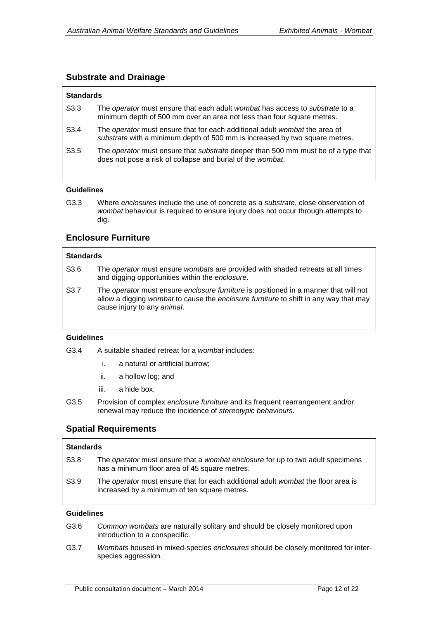#### **Substrate and Drainage**

| <b>Standards</b> |                                                                                                                                                           |  |
|------------------|-----------------------------------------------------------------------------------------------------------------------------------------------------------|--|
| S3.3             | The operator must ensure that each adult wombat has access to substrate to a<br>minimum depth of 500 mm over an area not less than four square metres.    |  |
| S <sub>3.4</sub> | The operator must ensure that for each additional adult wombat the area of<br>substrate with a minimum depth of 500 mm is increased by two square metres. |  |
| S <sub>3.5</sub> | The operator must ensure that <i>substrate</i> deeper than 500 mm must be of a type that<br>does not pose a risk of collapse and burial of the wombat.    |  |

#### **Guidelines**

G3.3 Where *enclosures* include the use of concrete as a *substrate*, close observation of *wombat* behaviour is required to ensure injury does not occur through attempts to dig.

#### **Enclosure Furniture**

#### **Standards**

- S3.6 The *operator* must ensure *wombat*s are provided with shaded retreats at all times and digging opportunities within the *enclosure*.
- S3.7 The *operator* must ensure *enclosure furniture* is positioned in a manner that will not allow a digging *wombat* to cause the *enclosure furniture* to shift in any way that may cause injury to any *animal*.

#### **Guidelines**

- G3.4 A suitable shaded retreat for a *wombat* includes:
	- i. a natural or artificial burrow;
	- ii. a hollow log; and
	- iii. a hide box.
- G3.5 Provision of complex *enclosure furniture* and its frequent rearrangement and/or renewal may reduce the incidence of *stereotypic behaviours.*

#### **Spatial Requirements**

#### **Standards**

| S3.8             | The operator must ensure that a wombat enclosure for up to two adult specimens<br>has a minimum floor area of 45 square metres.  |
|------------------|----------------------------------------------------------------------------------------------------------------------------------|
| S <sub>3.9</sub> | The operator must ensure that for each additional adult wombat the floor area is<br>increased by a minimum of ten square metres. |

#### **Guidelines**

- G3.6 *Common wombats* are naturally solitary and should be closely monitored upon introduction to a conspecific.
- G3.7 *Wombats* housed in mixed-species *enclosures* should be closely monitored for interspecies aggression.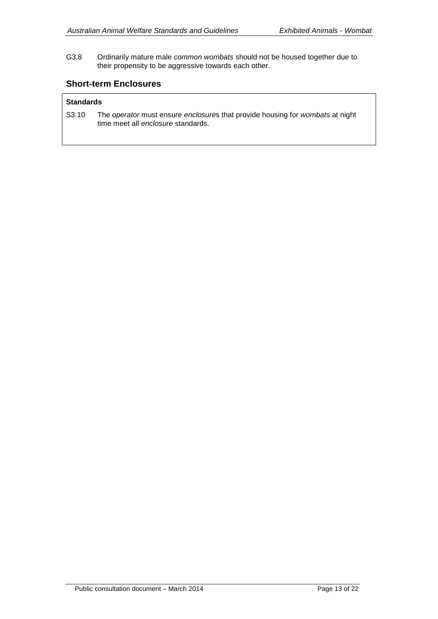G3.8 Ordinarily mature male *common wombats* should not be housed together due to their propensity to be aggressive towards each other.

#### **Short-term Enclosures**

### **Standards**

S3.10 The *operator* must ensure *enclosure*s that provide housing for *wombat*s at night time meet all *enclosure* standards.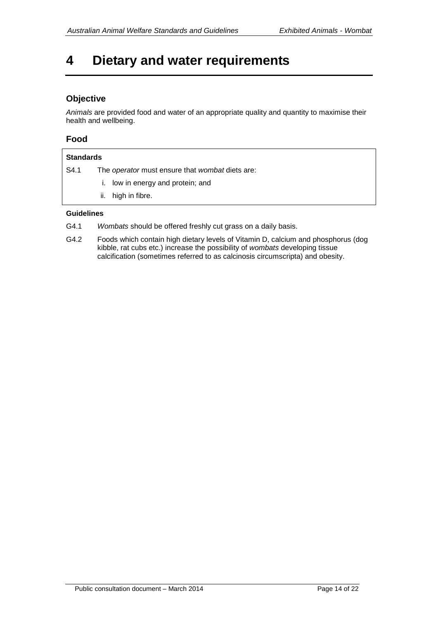# <span id="page-13-0"></span>**4 Dietary and water requirements**

### **Objective**

*Animals* are provided food and water of an appropriate quality and quantity to maximise their health and wellbeing.

#### **Food**

| <b>Standards</b>  |                                                               |  |  |  |  |
|-------------------|---------------------------------------------------------------|--|--|--|--|
| S4.1              | The <i>operator</i> must ensure that <i>wombat</i> diets are: |  |  |  |  |
|                   | i. low in energy and protein; and                             |  |  |  |  |
|                   | high in fibre.<br>ii.                                         |  |  |  |  |
| <b>Guidelines</b> |                                                               |  |  |  |  |
| G4.1              | Wombats should be offered freshly cut grass on a daily basis. |  |  |  |  |

G4.2 Foods which contain high dietary levels of Vitamin D, calcium and phosphorus (dog kibble, rat cubs etc.) increase the possibility of *wombats* developing tissue calcification (sometimes referred to as calcinosis circumscripta) and obesity.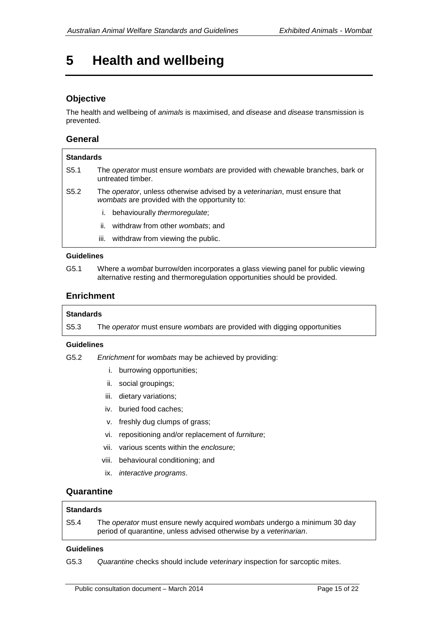# <span id="page-14-0"></span>**5 Health and wellbeing**

### **Objective**

The health and wellbeing of *animals* is maximised, and *disease* and *disease* transmission is prevented.

#### **General**

### **Standards** S5.1 The *operator* must ensure *wombats* are provided with chewable branches, bark or untreated timber. S5.2 The *operator*, unless otherwise advised by a *veterinarian*, must ensure that *wombats* are provided with the opportunity to: i. behaviourally *thermoregulate*;

- ii. withdraw from other *wombats*; and
- iii. withdraw from viewing the public.

#### **Guidelines**

G5.1 Where a *wombat* burrow/den incorporates a glass viewing panel for public viewing alternative resting and thermoregulation opportunities should be provided.

### **Enrichment**

#### **Standards**

S5.3 The *operator* must ensure *wombats* are provided with digging opportunities

#### **Guidelines**

- G5.2 *Enrichment* for *wombats* may be achieved by providing:
	- i. burrowing opportunities;
	- ii. social groupings;
	- iii. dietary variations;
	- iv. buried food caches;
	- v. freshly dug clumps of grass;
	- vi. repositioning and/or replacement of *furniture*;
	- vii. various scents within the *enclosure*;
	- viii. behavioural conditioning; and
	- ix. *interactive programs*.

#### **Quarantine**

#### **Standards**

S5.4 The *operator* must ensure newly acquired *wombats* undergo a minimum 30 day period of quarantine, unless advised otherwise by a *veterinarian*.

#### **Guidelines**

G5.3 *Quarantine* checks should include *veterinary* inspection for sarcoptic mites.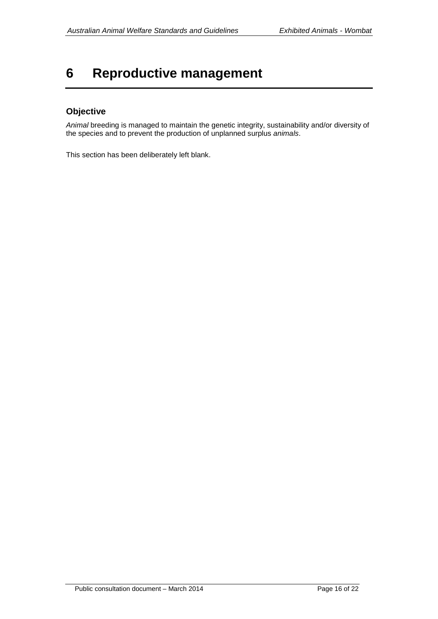# <span id="page-15-0"></span>**6 Reproductive management**

### **Objective**

*Animal* breeding is managed to maintain the genetic integrity, sustainability and/or diversity of the species and to prevent the production of unplanned surplus *animals*.

This section has been deliberately left blank.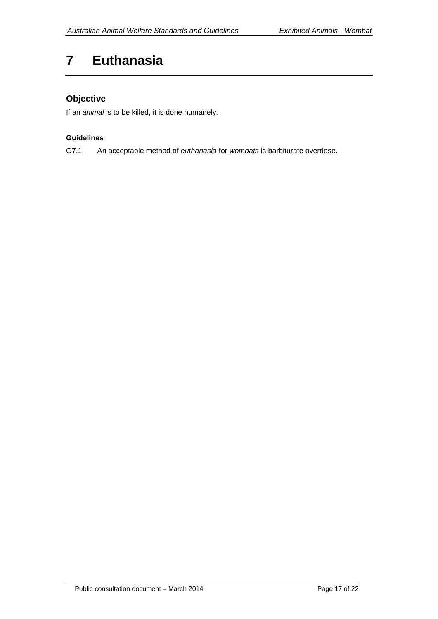# <span id="page-16-0"></span>**7 Euthanasia**

# **Objective**

If an *animal* is to be killed, it is done humanely.

#### **Guidelines**

G7.1 An acceptable method of *euthanasia* for *wombats* is barbiturate overdose.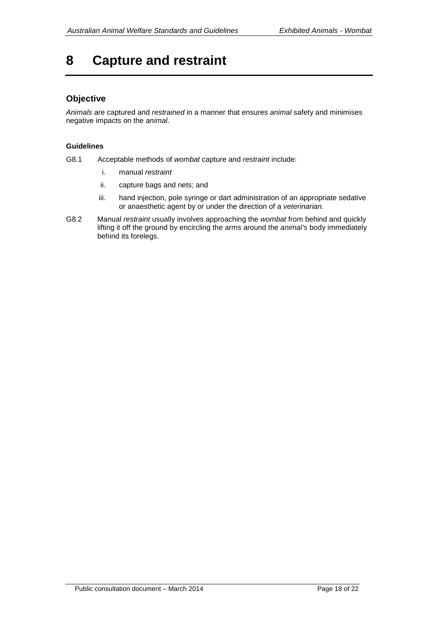# <span id="page-17-0"></span>**8 Capture and restraint**

### **Objective**

*Animals* are captured and *restrained* in a manner that ensures *animal* safety and minimises negative impacts on the *animal*.

#### **Guidelines**

- G8.1 Acceptable methods of *wombat* capture and *restraint* include:
	- i. manual *restraint*
	- ii. capture bags and nets; and
	- iii. hand injection, pole syringe or dart administration of an appropriate sedative or anaesthetic agent by or under the direction of a *veterinarian*.
- G8.2 Manual *restraint* usually involves approaching the *wombat* from behind and quickly lifting it off the ground by encircling the arms around the *animal's* body immediately behind its forelegs.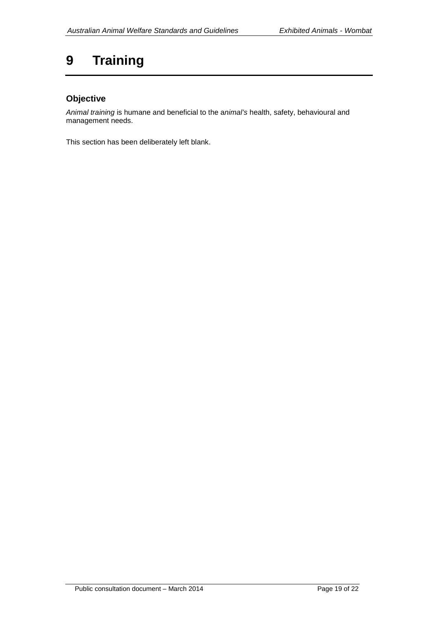# <span id="page-18-0"></span>**9 Training**

# **Objective**

*Animal training* is humane and beneficial to the a*nimal's* health, safety, behavioural and management needs.

This section has been deliberately left blank.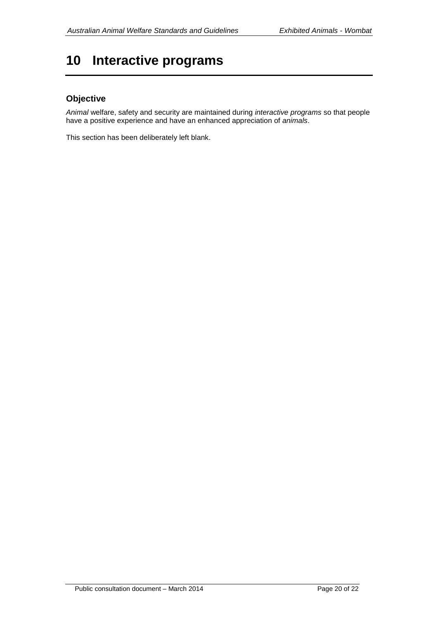# <span id="page-19-0"></span>**10 Interactive programs**

### **Objective**

*Animal* welfare, safety and security are maintained during *interactive programs* so that people have a positive experience and have an enhanced appreciation of *animals*.

This section has been deliberately left blank.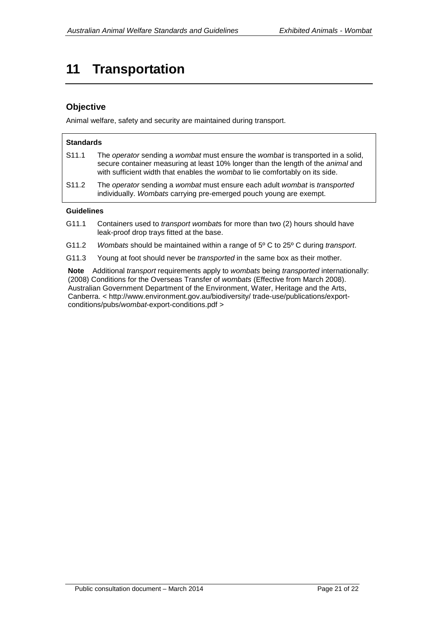# <span id="page-20-0"></span>**11 Transportation**

### **Objective**

Animal welfare, safety and security are maintained during transport.

| <b>Standards</b>  |                                                                                                                                                                                                                                                                           |  |
|-------------------|---------------------------------------------------------------------------------------------------------------------------------------------------------------------------------------------------------------------------------------------------------------------------|--|
| S <sub>11.1</sub> | The <i>operator</i> sending a <i>wombat</i> must ensure the <i>wombat</i> is transported in a solid,<br>secure container measuring at least 10% longer than the length of the animal and<br>with sufficient width that enables the wombat to lie comfortably on its side. |  |
| S <sub>11.2</sub> | The operator sending a wombat must ensure each adult wombat is transported<br>individually. Wombats carrying pre-emerged pouch young are exempt.                                                                                                                          |  |
|                   |                                                                                                                                                                                                                                                                           |  |

#### **Guidelines**

- G11.1 Containers used to *transport wombat*s for more than two (2) hours should have leak-proof drop trays fitted at the base.
- G11.2 *Wombats* should be maintained within a range of 5º C to 25º C during *transport*.

G11.3 Young at foot should never be *transported* in the same box as their mother.

**Note** Additional *transport* requirements apply to *wombats* being *transported* internationally: (2008) Conditions for the Overseas Transfer of *wombats* (Effective from March 2008). Australian Government Department of the Environment, Water, Heritage and the Arts, Canberra. < http://www.environment.gov.au/biodiversity/ trade-use/publications/exportconditions/pubs/*wombat*-export-conditions.pdf >